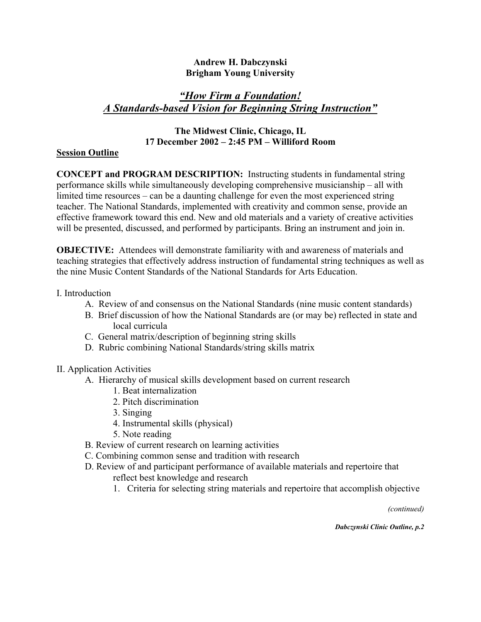### **Andrew H. Dabczynski Brigham Young University**

# *"How Firm a Foundation! A Standards-based Vision for Beginning String Instruction"*

# **The Midwest Clinic, Chicago, IL 17 December 2002 – 2:45 PM – Williford Room**

### **Session Outline**

**CONCEPT and PROGRAM DESCRIPTION:** Instructing students in fundamental string performance skills while simultaneously developing comprehensive musicianship – all with limited time resources – can be a daunting challenge for even the most experienced string teacher. The National Standards, implemented with creativity and common sense, provide an effective framework toward this end. New and old materials and a variety of creative activities will be presented, discussed, and performed by participants. Bring an instrument and join in.

**OBJECTIVE:** Attendees will demonstrate familiarity with and awareness of materials and teaching strategies that effectively address instruction of fundamental string techniques as well as the nine Music Content Standards of the National Standards for Arts Education.

#### I. Introduction

- A. Review of and consensus on the National Standards (nine music content standards)
- B. Brief discussion of how the National Standards are (or may be) reflected in state and local curricula
- C. General matrix/description of beginning string skills
- D. Rubric combining National Standards/string skills matrix

## II. Application Activities

- A. Hierarchy of musical skills development based on current research
	- 1. Beat internalization
	- 2. Pitch discrimination
	- 3. Singing
	- 4. Instrumental skills (physical)
	- 5. Note reading
- B. Review of current research on learning activities
- C. Combining common sense and tradition with research
- D. Review of and participant performance of available materials and repertoire that
	- reflect best knowledge and research
	- 1. Criteria for selecting string materials and repertoire that accomplish objective

*(continued)* 

*Dabczynski Clinic Outline, p.2*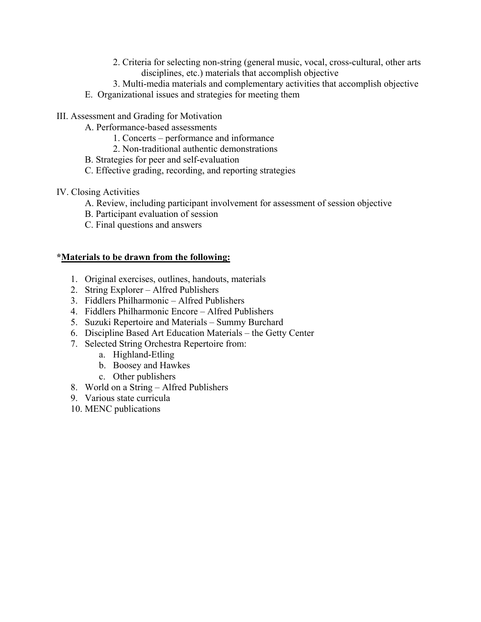- 2. Criteria for selecting non-string (general music, vocal, cross-cultural, other arts disciplines, etc.) materials that accomplish objective
- 3. Multi-media materials and complementary activities that accomplish objective
- E. Organizational issues and strategies for meeting them
- III. Assessment and Grading for Motivation
	- A. Performance-based assessments
		- 1. Concerts performance and informance
		- 2. Non-traditional authentic demonstrations
	- B. Strategies for peer and self-evaluation
	- C. Effective grading, recording, and reporting strategies
- IV. Closing Activities
	- A. Review, including participant involvement for assessment of session objective
	- B. Participant evaluation of session
	- C. Final questions and answers

## **\*Materials to be drawn from the following:**

- 1. Original exercises, outlines, handouts, materials
- 2. String Explorer Alfred Publishers
- 3. Fiddlers Philharmonic Alfred Publishers
- 4. Fiddlers Philharmonic Encore Alfred Publishers
- 5. Suzuki Repertoire and Materials Summy Burchard
- 6. Discipline Based Art Education Materials the Getty Center
- 7. Selected String Orchestra Repertoire from:
	- a. Highland-Etling
	- b. Boosey and Hawkes
	- c. Other publishers
- 8. World on a String Alfred Publishers
- 9. Various state curricula
- 10. MENC publications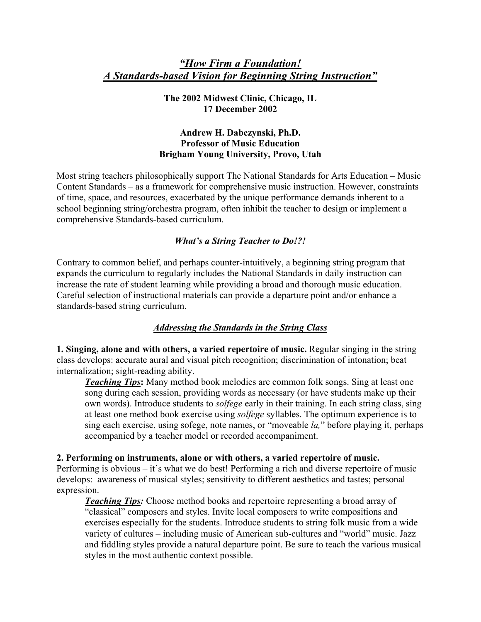# *"How Firm a Foundation! A Standards-based Vision for Beginning String Instruction"*

### **The 2002 Midwest Clinic, Chicago, IL 17 December 2002**

### **Andrew H. Dabczynski, Ph.D. Professor of Music Education Brigham Young University, Provo, Utah**

Most string teachers philosophically support The National Standards for Arts Education – Music Content Standards – as a framework for comprehensive music instruction. However, constraints of time, space, and resources, exacerbated by the unique performance demands inherent to a school beginning string/orchestra program, often inhibit the teacher to design or implement a comprehensive Standards-based curriculum.

## *What's a String Teacher to Do!?!*

Contrary to common belief, and perhaps counter-intuitively, a beginning string program that expands the curriculum to regularly includes the National Standards in daily instruction can increase the rate of student learning while providing a broad and thorough music education. Careful selection of instructional materials can provide a departure point and/or enhance a standards-based string curriculum.

## *Addressing the Standards in the String Class*

**1. Singing, alone and with others, a varied repertoire of music.** Regular singing in the string class develops: accurate aural and visual pitch recognition; discrimination of intonation; beat internalization; sight-reading ability.

*Teaching Tips***:** Many method book melodies are common folk songs. Sing at least one song during each session, providing words as necessary (or have students make up their own words). Introduce students to *solfege* early in their training. In each string class, sing at least one method book exercise using *solfege* syllables. The optimum experience is to sing each exercise, using sofege, note names, or "moveable *la,*" before playing it, perhaps accompanied by a teacher model or recorded accompaniment.

## **2. Performing on instruments, alone or with others, a varied repertoire of music.**

Performing is obvious – it's what we do best! Performing a rich and diverse repertoire of music develops: awareness of musical styles; sensitivity to different aesthetics and tastes; personal expression.

*Teaching Tips:* Choose method books and repertoire representing a broad array of "classical" composers and styles. Invite local composers to write compositions and exercises especially for the students. Introduce students to string folk music from a wide variety of cultures – including music of American sub-cultures and "world" music. Jazz and fiddling styles provide a natural departure point. Be sure to teach the various musical styles in the most authentic context possible.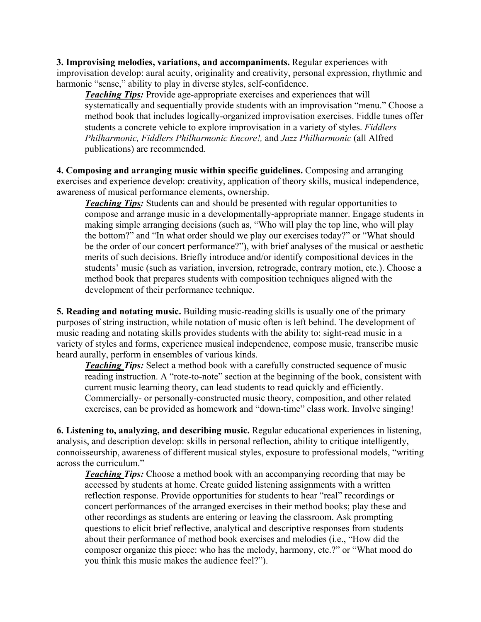**3. Improvising melodies, variations, and accompaniments.** Regular experiences with improvisation develop: aural acuity, originality and creativity, personal expression, rhythmic and harmonic "sense," ability to play in diverse styles, self-confidence.

*Teaching Tips:* Provide age-appropriate exercises and experiences that will systematically and sequentially provide students with an improvisation "menu." Choose a method book that includes logically-organized improvisation exercises. Fiddle tunes offer students a concrete vehicle to explore improvisation in a variety of styles. *Fiddlers Philharmonic, Fiddlers Philharmonic Encore!,* and *Jazz Philharmonic* (all Alfred publications) are recommended.

**4. Composing and arranging music within specific guidelines.** Composing and arranging exercises and experience develop: creativity, application of theory skills, musical independence, awareness of musical performance elements, ownership.

*Teaching Tips:* Students can and should be presented with regular opportunities to compose and arrange music in a developmentally-appropriate manner. Engage students in making simple arranging decisions (such as, "Who will play the top line, who will play the bottom?" and "In what order should we play our exercises today?" or "What should be the order of our concert performance?"), with brief analyses of the musical or aesthetic merits of such decisions. Briefly introduce and/or identify compositional devices in the students' music (such as variation, inversion, retrograde, contrary motion, etc.). Choose a method book that prepares students with composition techniques aligned with the development of their performance technique.

**5. Reading and notating music.** Building music-reading skills is usually one of the primary purposes of string instruction, while notation of music often is left behind. The development of music reading and notating skills provides students with the ability to: sight-read music in a variety of styles and forms, experience musical independence, compose music, transcribe music heard aurally, perform in ensembles of various kinds.

*Teaching Tips:* Select a method book with a carefully constructed sequence of music reading instruction. A "rote-to-note" section at the beginning of the book, consistent with current music learning theory, can lead students to read quickly and efficiently. Commercially- or personally-constructed music theory, composition, and other related exercises, can be provided as homework and "down-time" class work. Involve singing!

**6. Listening to, analyzing, and describing music.** Regular educational experiences in listening, analysis, and description develop: skills in personal reflection, ability to critique intelligently, connoisseurship, awareness of different musical styles, exposure to professional models, "writing across the curriculum."

*Teaching Tips:* Choose a method book with an accompanying recording that may be accessed by students at home. Create guided listening assignments with a written reflection response. Provide opportunities for students to hear "real" recordings or concert performances of the arranged exercises in their method books; play these and other recordings as students are entering or leaving the classroom. Ask prompting questions to elicit brief reflective, analytical and descriptive responses from students about their performance of method book exercises and melodies (i.e., "How did the composer organize this piece: who has the melody, harmony, etc.?" or "What mood do you think this music makes the audience feel?").